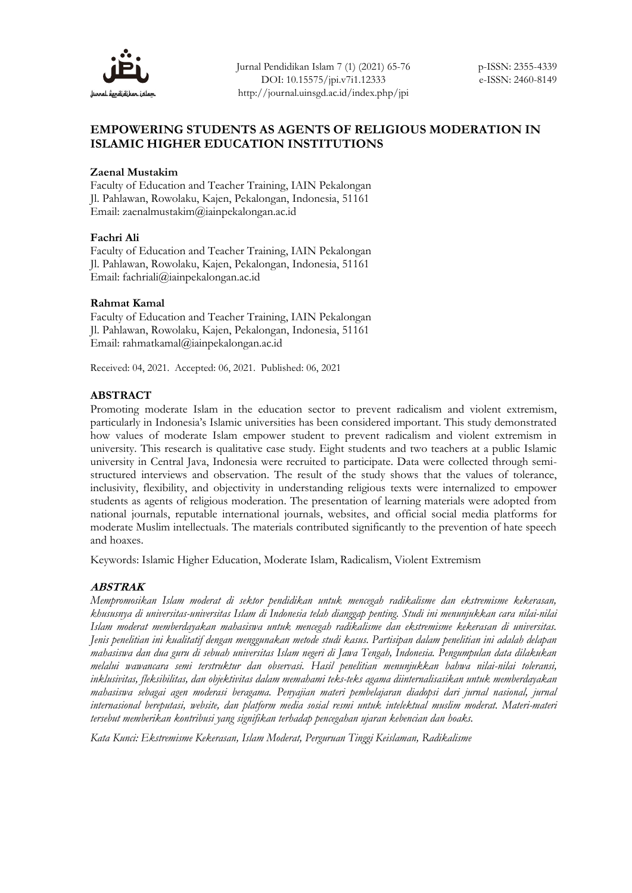

Jurnal Pendidikan Islam 7 (1) (2021) 65-76 DOI: 10.15575/jpi.v7i1.12333 http://journal.uinsgd.ac.id/index.php/jpi

## **EMPOWERING STUDENTS AS AGENTS OF RELIGIOUS MODERATION IN ISLAMIC HIGHER EDUCATION INSTITUTIONS**

### **Zaenal Mustakim**

Faculty of Education and Teacher Training, IAIN Pekalongan Jl. Pahlawan, Rowolaku, Kajen, Pekalongan, Indonesia, 51161 Email: zaenalmustakim@iainpekalongan.ac.id

### **Fachri Ali**

Faculty of Education and Teacher Training, IAIN Pekalongan Jl. Pahlawan, Rowolaku, Kajen, Pekalongan, Indonesia, 51161 Email: fachriali@iainpekalongan.ac.id

### **Rahmat Kamal**

Faculty of Education and Teacher Training, IAIN Pekalongan Jl. Pahlawan, Rowolaku, Kajen, Pekalongan, Indonesia, 51161 Email: rahmatkamal@iainpekalongan.ac.id

Received: 04, 2021. Accepted: 06, 2021. Published: 06, 2021

### **ABSTRACT**

Promoting moderate Islam in the education sector to prevent radicalism and violent extremism, particularly in Indonesia's Islamic universities has been considered important. This study demonstrated how values of moderate Islam empower student to prevent radicalism and violent extremism in university. This research is qualitative case study. Eight students and two teachers at a public Islamic university in Central Java, Indonesia were recruited to participate. Data were collected through semistructured interviews and observation. The result of the study shows that the values of tolerance, inclusivity, flexibility, and objectivity in understanding religious texts were internalized to empower students as agents of religious moderation. The presentation of learning materials were adopted from national journals, reputable international journals, websites, and official social media platforms for moderate Muslim intellectuals. The materials contributed significantly to the prevention of hate speech and hoaxes.

Keywords: Islamic Higher Education, Moderate Islam, Radicalism, Violent Extremism

### **ABSTRAK**

*Mempromosikan Islam moderat di sektor pendidikan untuk mencegah radikalisme dan ekstremisme kekerasan, khususnya di universitas-universitas Islam di Indonesia telah dianggap penting. Studi ini menunjukkan cara nilai-nilai Islam moderat memberdayakan mahasiswa untuk mencegah radikalisme dan ekstremisme kekerasan di universitas. Jenis penelitian ini kualitatif dengan menggunakan metode studi kasus. Partisipan dalam penelitian ini adalah delapan mahasiswa dan dua guru di sebuah universitas Islam negeri di Jawa Tengah, Indonesia. Pengumpulan data dilakukan melalui wawancara semi terstruktur dan observasi. Hasil penelitian menunjukkan bahwa nilai-nilai toleransi, inklusivitas, fleksibilitas, dan objektivitas dalam memahami teks-teks agama diinternalisasikan untuk memberdayakan mahasiswa sebagai agen moderasi beragama. Penyajian materi pembelajaran diadopsi dari jurnal nasional, jurnal internasional bereputasi, website, dan platform media sosial resmi untuk intelektual muslim moderat. Materi-materi tersebut memberikan kontribusi yang signifikan terhadap pencegahan ujaran kebencian dan hoaks.*

*Kata Kunci: Ekstremisme Kekerasan, Islam Moderat, Perguruan Tinggi Keislaman, Radikalisme*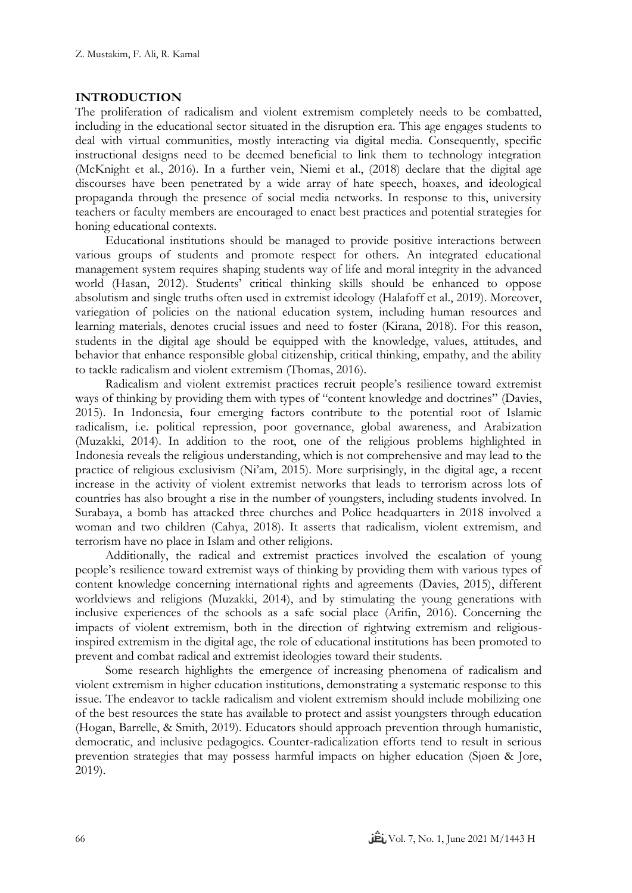### **INTRODUCTION**

The proliferation of radicalism and violent extremism completely needs to be combatted, including in the educational sector situated in the disruption era. This age engages students to deal with virtual communities, mostly interacting via digital media. Consequently, specific instructional designs need to be deemed beneficial to link them to technology integration (McKnight et al., 2016). In a further vein, Niemi et al., (2018) declare that the digital age discourses have been penetrated by a wide array of hate speech, hoaxes, and ideological propaganda through the presence of social media networks. In response to this, university teachers or faculty members are encouraged to enact best practices and potential strategies for honing educational contexts.

Educational institutions should be managed to provide positive interactions between various groups of students and promote respect for others. An integrated educational management system requires shaping students way of life and moral integrity in the advanced world (Hasan, 2012). Students' critical thinking skills should be enhanced to oppose absolutism and single truths often used in extremist ideology (Halafoff et al., 2019). Moreover, variegation of policies on the national education system, including human resources and learning materials, denotes crucial issues and need to foster (Kirana, 2018). For this reason, students in the digital age should be equipped with the knowledge, values, attitudes, and behavior that enhance responsible global citizenship, critical thinking, empathy, and the ability to tackle radicalism and violent extremism (Thomas, 2016).

Radicalism and violent extremist practices recruit people's resilience toward extremist ways of thinking by providing them with types of "content knowledge and doctrines" (Davies, 2015). In Indonesia, four emerging factors contribute to the potential root of Islamic radicalism, i.e. political repression, poor governance, global awareness, and Arabization (Muzakki, 2014). In addition to the root, one of the religious problems highlighted in Indonesia reveals the religious understanding, which is not comprehensive and may lead to the practice of religious exclusivism (Ni'am, 2015). More surprisingly, in the digital age, a recent increase in the activity of violent extremist networks that leads to terrorism across lots of countries has also brought a rise in the number of youngsters, including students involved. In Surabaya, a bomb has attacked three churches and Police headquarters in 2018 involved a woman and two children (Cahya, 2018). It asserts that radicalism, violent extremism, and terrorism have no place in Islam and other religions.

Additionally, the radical and extremist practices involved the escalation of young people's resilience toward extremist ways of thinking by providing them with various types of content knowledge concerning international rights and agreements (Davies, 2015), different worldviews and religions (Muzakki, 2014), and by stimulating the young generations with inclusive experiences of the schools as a safe social place (Arifin, 2016). Concerning the impacts of violent extremism, both in the direction of rightwing extremism and religiousinspired extremism in the digital age, the role of educational institutions has been promoted to prevent and combat radical and extremist ideologies toward their students.

Some research highlights the emergence of increasing phenomena of radicalism and violent extremism in higher education institutions, demonstrating a systematic response to this issue. The endeavor to tackle radicalism and violent extremism should include mobilizing one of the best resources the state has available to protect and assist youngsters through education (Hogan, Barrelle, & Smith, 2019). Educators should approach prevention through humanistic, democratic, and inclusive pedagogics. Counter-radicalization efforts tend to result in serious prevention strategies that may possess harmful impacts on higher education (Sjøen & Jore, 2019).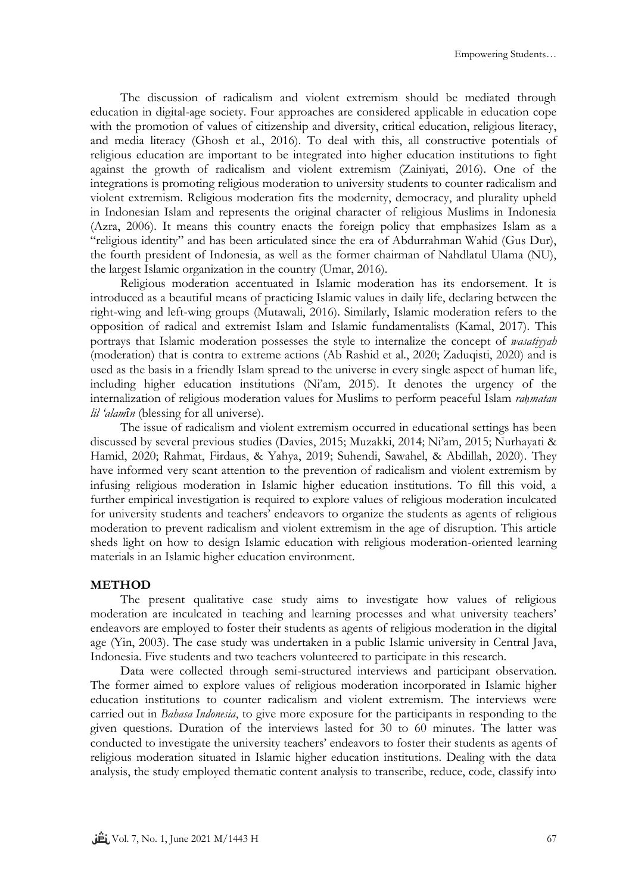The discussion of radicalism and violent extremism should be mediated through education in digital-age society. Four approaches are considered applicable in education cope with the promotion of values of citizenship and diversity, critical education, religious literacy, and media literacy (Ghosh et al., 2016). To deal with this, all constructive potentials of religious education are important to be integrated into higher education institutions to fight against the growth of radicalism and violent extremism (Zainiyati, 2016). One of the integrations is promoting religious moderation to university students to counter radicalism and violent extremism. Religious moderation fits the modernity, democracy, and plurality upheld in Indonesian Islam and represents the original character of religious Muslims in Indonesia (Azra, 2006). It means this country enacts the foreign policy that emphasizes Islam as a "religious identity" and has been articulated since the era of Abdurrahman Wahid (Gus Dur), the fourth president of Indonesia, as well as the former chairman of Nahdlatul Ulama (NU), the largest Islamic organization in the country (Umar, 2016).

Religious moderation accentuated in Islamic moderation has its endorsement. It is introduced as a beautiful means of practicing Islamic values in daily life, declaring between the right-wing and left-wing groups (Mutawali, 2016). Similarly, Islamic moderation refers to the opposition of radical and extremist Islam and Islamic fundamentalists (Kamal, 2017). This portrays that Islamic moderation possesses the style to internalize the concept of *wasatiyyah* (moderation) that is contra to extreme actions (Ab Rashid et al., 2020; Zaduqisti, 2020) and is used as the basis in a friendly Islam spread to the universe in every single aspect of human life, including higher education institutions (Ni'am, 2015). It denotes the urgency of the internalization of religious moderation values for Muslims to perform peaceful Islam *raḥmatan lil 'alamîn* (blessing for all universe).

The issue of radicalism and violent extremism occurred in educational settings has been discussed by several previous studies (Davies, 2015; Muzakki, 2014; Ni'am, 2015; Nurhayati & Hamid, 2020; Rahmat, Firdaus, & Yahya, 2019; Suhendi, Sawahel, & Abdillah, 2020). They have informed very scant attention to the prevention of radicalism and violent extremism by infusing religious moderation in Islamic higher education institutions. To fill this void, a further empirical investigation is required to explore values of religious moderation inculcated for university students and teachers' endeavors to organize the students as agents of religious moderation to prevent radicalism and violent extremism in the age of disruption. This article sheds light on how to design Islamic education with religious moderation-oriented learning materials in an Islamic higher education environment.

## **METHOD**

The present qualitative case study aims to investigate how values of religious moderation are inculcated in teaching and learning processes and what university teachers' endeavors are employed to foster their students as agents of religious moderation in the digital age (Yin, 2003). The case study was undertaken in a public Islamic university in Central Java, Indonesia. Five students and two teachers volunteered to participate in this research.

Data were collected through semi-structured interviews and participant observation. The former aimed to explore values of religious moderation incorporated in Islamic higher education institutions to counter radicalism and violent extremism. The interviews were carried out in *Bahasa Indonesia*, to give more exposure for the participants in responding to the given questions. Duration of the interviews lasted for 30 to 60 minutes. The latter was conducted to investigate the university teachers' endeavors to foster their students as agents of religious moderation situated in Islamic higher education institutions. Dealing with the data analysis, the study employed thematic content analysis to transcribe, reduce, code, classify into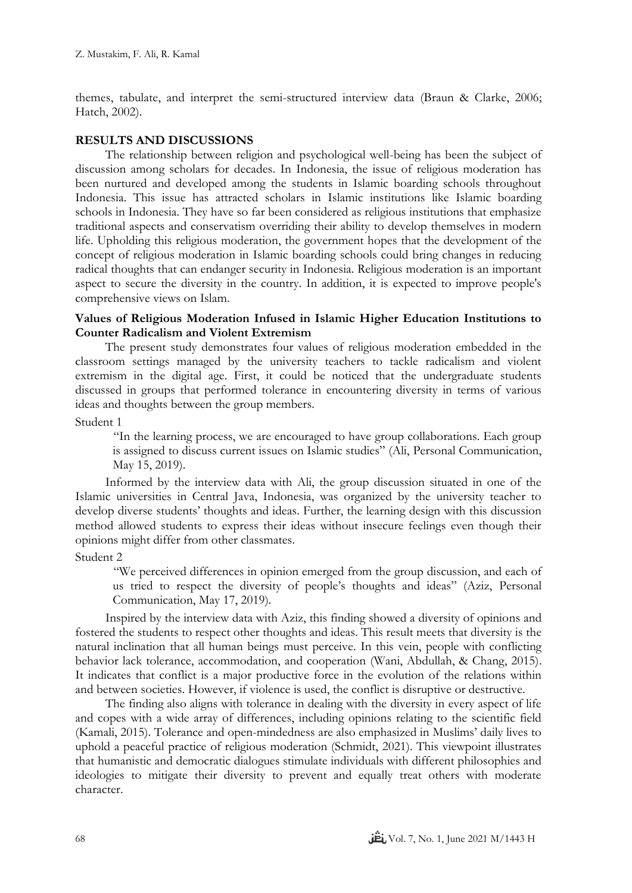themes, tabulate, and interpret the semi-structured interview data (Braun & Clarke, 2006; Hatch, 2002).

# **RESULTS AND DISCUSSIONS**

The relationship between religion and psychological well-being has been the subject of discussion among scholars for decades. In Indonesia, the issue of religious moderation has been nurtured and developed among the students in Islamic boarding schools throughout Indonesia. This issue has attracted scholars in Islamic institutions like Islamic boarding schools in Indonesia. They have so far been considered as religious institutions that emphasize traditional aspects and conservatism overriding their ability to develop themselves in modern life. Upholding this religious moderation, the government hopes that the development of the concept of religious moderation in Islamic boarding schools could bring changes in reducing radical thoughts that can endanger security in Indonesia. Religious moderation is an important aspect to secure the diversity in the country. In addition, it is expected to improve people's comprehensive views on Islam.

## **Values of Religious Moderation Infused in Islamic Higher Education Institutions to Counter Radicalism and Violent Extremism**

The present study demonstrates four values of religious moderation embedded in the classroom settings managed by the university teachers to tackle radicalism and violent extremism in the digital age. First, it could be noticed that the undergraduate students discussed in groups that performed tolerance in encountering diversity in terms of various ideas and thoughts between the group members.

Student 1

"In the learning process, we are encouraged to have group collaborations. Each group is assigned to discuss current issues on Islamic studies" (Ali, Personal Communication, May 15, 2019).

Informed by the interview data with Ali, the group discussion situated in one of the Islamic universities in Central Java, Indonesia, was organized by the university teacher to develop diverse students' thoughts and ideas. Further, the learning design with this discussion method allowed students to express their ideas without insecure feelings even though their opinions might differ from other classmates.

Student 2

"We perceived differences in opinion emerged from the group discussion, and each of us tried to respect the diversity of people's thoughts and ideas" (Aziz, Personal Communication, May 17, 2019).

Inspired by the interview data with Aziz, this finding showed a diversity of opinions and fostered the students to respect other thoughts and ideas. This result meets that diversity is the natural inclination that all human beings must perceive. In this vein, people with conflicting behavior lack tolerance, accommodation, and cooperation (Wani, Abdullah, & Chang, 2015). It indicates that conflict is a major productive force in the evolution of the relations within and between societies. However, if violence is used, the conflict is disruptive or destructive.

The finding also aligns with tolerance in dealing with the diversity in every aspect of life and copes with a wide array of differences, including opinions relating to the scientific field (Kamali, 2015). Tolerance and open-mindedness are also emphasized in Muslims' daily lives to uphold a peaceful practice of religious moderation (Schmidt, 2021). This viewpoint illustrates that humanistic and democratic dialogues stimulate individuals with different philosophies and ideologies to mitigate their diversity to prevent and equally treat others with moderate character.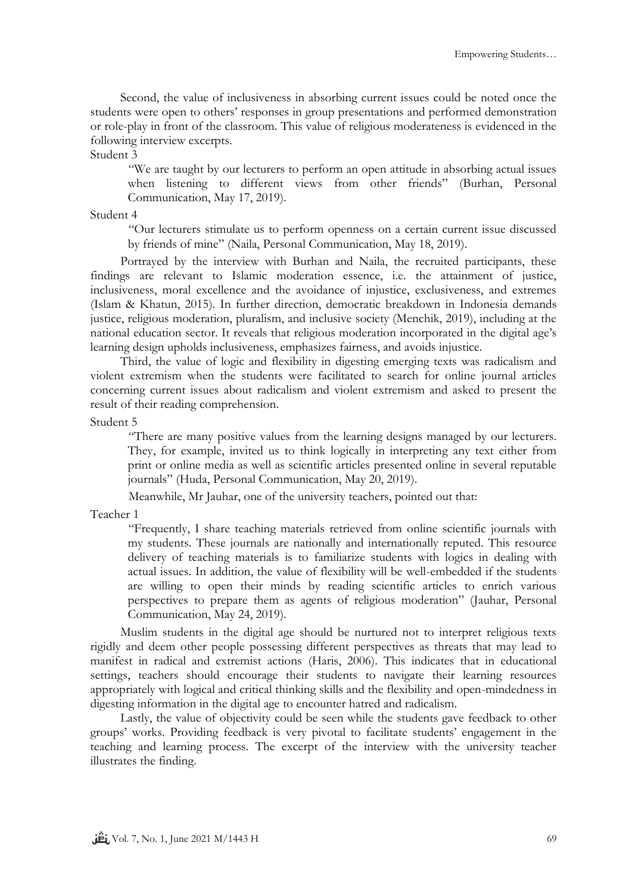Second, the value of inclusiveness in absorbing current issues could be noted once the students were open to others' responses in group presentations and performed demonstration or role-play in front of the classroom. This value of religious moderateness is evidenced in the following interview excerpts.

Student 3

"We are taught by our lecturers to perform an open attitude in absorbing actual issues when listening to different views from other friends" (Burhan, Personal Communication, May 17, 2019).

### Student 4

"Our lecturers stimulate us to perform openness on a certain current issue discussed by friends of mine" (Naila, Personal Communication, May 18, 2019).

Portrayed by the interview with Burhan and Naila, the recruited participants, these findings are relevant to Islamic moderation essence, i.e. the attainment of justice, inclusiveness, moral excellence and the avoidance of injustice, exclusiveness, and extremes (Islam & Khatun, 2015). In further direction, democratic breakdown in Indonesia demands justice, religious moderation, pluralism, and inclusive society (Menchik, 2019), including at the national education sector. It reveals that religious moderation incorporated in the digital age's learning design upholds inclusiveness, emphasizes fairness, and avoids injustice.

Third, the value of logic and flexibility in digesting emerging texts was radicalism and violent extremism when the students were facilitated to search for online journal articles concerning current issues about radicalism and violent extremism and asked to present the result of their reading comprehension.

Student 5

"There are many positive values from the learning designs managed by our lecturers. They, for example, invited us to think logically in interpreting any text either from print or online media as well as scientific articles presented online in several reputable journals" (Huda, Personal Communication, May 20, 2019).

Meanwhile, Mr Jauhar, one of the university teachers, pointed out that:

Teacher 1

"Frequently, I share teaching materials retrieved from online scientific journals with my students. These journals are nationally and internationally reputed. This resource delivery of teaching materials is to familiarize students with logics in dealing with actual issues. In addition, the value of flexibility will be well-embedded if the students are willing to open their minds by reading scientific articles to enrich various perspectives to prepare them as agents of religious moderation" (Jauhar, Personal Communication, May 24, 2019).

Muslim students in the digital age should be nurtured not to interpret religious texts rigidly and deem other people possessing different perspectives as threats that may lead to manifest in radical and extremist actions (Haris, 2006). This indicates that in educational settings, teachers should encourage their students to navigate their learning resources appropriately with logical and critical thinking skills and the flexibility and open-mindedness in digesting information in the digital age to encounter hatred and radicalism.

Lastly, the value of objectivity could be seen while the students gave feedback to other groups' works. Providing feedback is very pivotal to facilitate students' engagement in the teaching and learning process. The excerpt of the interview with the university teacher illustrates the finding.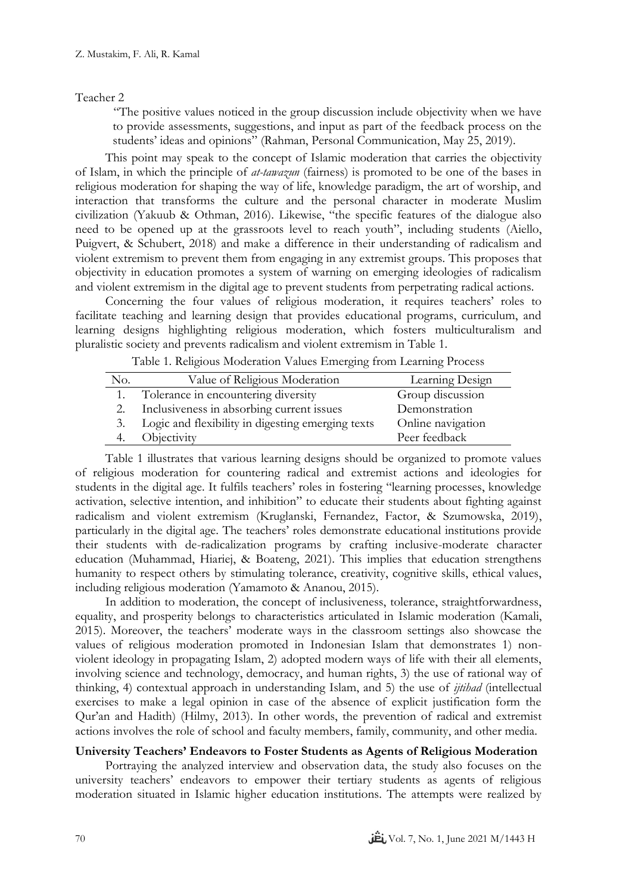### Teacher 2

"The positive values noticed in the group discussion include objectivity when we have to provide assessments, suggestions, and input as part of the feedback process on the students' ideas and opinions" (Rahman, Personal Communication, May 25, 2019).

This point may speak to the concept of Islamic moderation that carries the objectivity of Islam, in which the principle of *at-tawazun* (fairness) is promoted to be one of the bases in religious moderation for shaping the way of life, knowledge paradigm, the art of worship, and interaction that transforms the culture and the personal character in moderate Muslim civilization (Yakuub & Othman, 2016). Likewise, "the specific features of the dialogue also need to be opened up at the grassroots level to reach youth", including students (Aiello, Puigvert, & Schubert, 2018) and make a difference in their understanding of radicalism and violent extremism to prevent them from engaging in any extremist groups. This proposes that objectivity in education promotes a system of warning on emerging ideologies of radicalism and violent extremism in the digital age to prevent students from perpetrating radical actions.

Concerning the four values of religious moderation, it requires teachers' roles to facilitate teaching and learning design that provides educational programs, curriculum, and learning designs highlighting religious moderation, which fosters multiculturalism and pluralistic society and prevents radicalism and violent extremism in Table 1.

Table 1. Religious Moderation Values Emerging from Learning Process

| No. | Value of Religious Moderation                     | Learning Design   |
|-----|---------------------------------------------------|-------------------|
|     | Tolerance in encountering diversity               | Group discussion  |
|     | Inclusiveness in absorbing current issues         | Demonstration     |
|     | Logic and flexibility in digesting emerging texts | Online navigation |
|     | Objectivity                                       | Peer feedback     |

Table 1 illustrates that various learning designs should be organized to promote values of religious moderation for countering radical and extremist actions and ideologies for students in the digital age. It fulfils teachers' roles in fostering "learning processes, knowledge activation, selective intention, and inhibition" to educate their students about fighting against radicalism and violent extremism (Kruglanski, Fernandez, Factor, & Szumowska, 2019), particularly in the digital age. The teachers' roles demonstrate educational institutions provide their students with de-radicalization programs by crafting inclusive-moderate character education (Muhammad, Hiariej, & [Boateng,](https://www.tandfonline.com/author/Boateng%2C+John+Kwame) 2021). This implies that education strengthens humanity to respect others by stimulating tolerance, creativity, cognitive skills, ethical values, including religious moderation (Yamamoto & Ananou, 2015).

In addition to moderation, the concept of inclusiveness, tolerance, straightforwardness, equality, and prosperity belongs to characteristics articulated in Islamic moderation (Kamali, 2015). Moreover, the teachers' moderate ways in the classroom settings also showcase the values of religious moderation promoted in Indonesian Islam that demonstrates 1) nonviolent ideology in propagating Islam, 2) adopted modern ways of life with their all elements, involving science and technology, democracy, and human rights, 3) the use of rational way of thinking, 4) contextual approach in understanding Islam, and 5) the use of *ijtihad* (intellectual exercises to make a legal opinion in case of the absence of explicit justification form the Qur'an and Hadith) (Hilmy, 2013). In other words, the prevention of radical and extremist actions involves the role of school and faculty members, family, community, and other media.

# **University Teachers' Endeavors to Foster Students as Agents of Religious Moderation**

Portraying the analyzed interview and observation data, the study also focuses on the university teachers' endeavors to empower their tertiary students as agents of religious moderation situated in Islamic higher education institutions. The attempts were realized by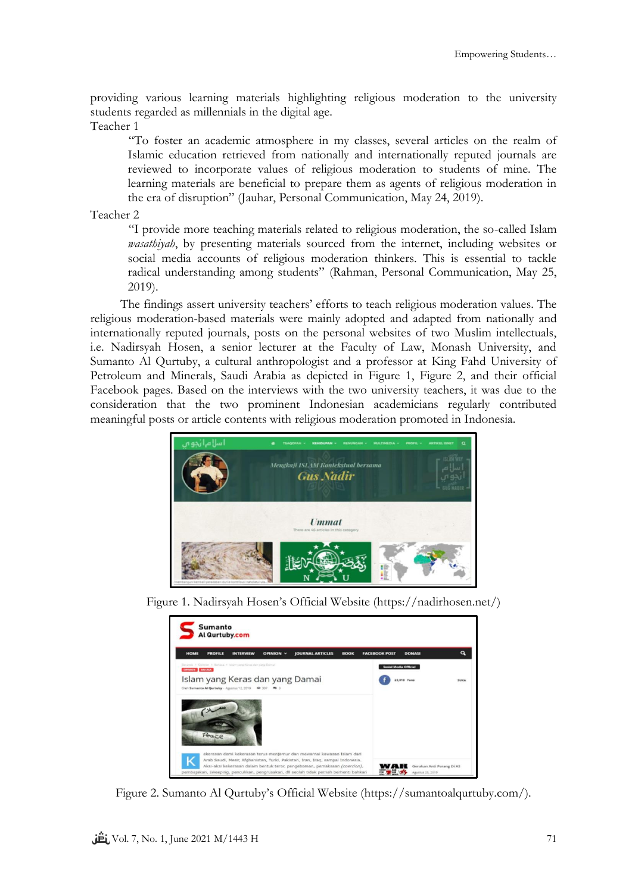providing various learning materials highlighting religious moderation to the university students regarded as millennials in the digital age.

Teacher 1

"To foster an academic atmosphere in my classes, several articles on the realm of Islamic education retrieved from nationally and internationally reputed journals are reviewed to incorporate values of religious moderation to students of mine. The learning materials are beneficial to prepare them as agents of religious moderation in the era of disruption" (Jauhar, Personal Communication, May 24, 2019).

Teacher 2

"I provide more teaching materials related to religious moderation, the so-called Islam *wasathiyah*, by presenting materials sourced from the internet, including websites or social media accounts of religious moderation thinkers. This is essential to tackle radical understanding among students" (Rahman, Personal Communication, May 25, 2019).

The findings assert university teachers' efforts to teach religious moderation values. The religious moderation-based materials were mainly adopted and adapted from nationally and internationally reputed journals, posts on the personal websites of two Muslim intellectuals, i.e. Nadirsyah Hosen, a senior lecturer at the Faculty of Law, Monash University, and Sumanto Al Qurtuby, a cultural anthropologist and a professor at King Fahd University of Petroleum and Minerals, Saudi Arabia as depicted in Figure 1, Figure 2, and their official Facebook pages. Based on the interviews with the two university teachers, it was due to the consideration that the two prominent Indonesian academicians regularly contributed meaningful posts or article contents with religious moderation promoted in Indonesia.



Figure 1. Nadirsyah Hosen's Official Website ([https://nadirhosen.net/\)](https://nadirhosen.net/)

| <b>Sumanto</b><br>Al Qurtuby.com                                                                                |                                       |             |  |
|-----------------------------------------------------------------------------------------------------------------|---------------------------------------|-------------|--|
| <b>HOME</b><br><b>JOURNAL ARTICLES</b><br><b>PROFILE</b><br><b>INTERVIEW</b><br><b>BOOK</b><br><b>OPINION V</b> | <b>DONASI</b><br><b>FACEBOOK POST</b> |             |  |
| Baranda A. Daimian A. Bahasa, A. Marrisona Kanas dan sang Damal<br>ORNION BAHASA                                | <b>Sosial Media Official</b>          |             |  |
| Islam yang Keras dan yang Damai<br>Cleh Sumento Al Qurtuby - Agustus 12, 2019                                   | 23.018 Fans                           | <b>SUKA</b> |  |
| Peace<br>ekerasan demi kekerasan terus menjamur dan mewarnai kawasan Islam dari                                 |                                       |             |  |
|                                                                                                                 |                                       |             |  |

Figure 2. Sumanto Al Qurtuby's Official Website ([https://sumantoalqurtuby.com/\)](https://sumantoalqurtuby.com/).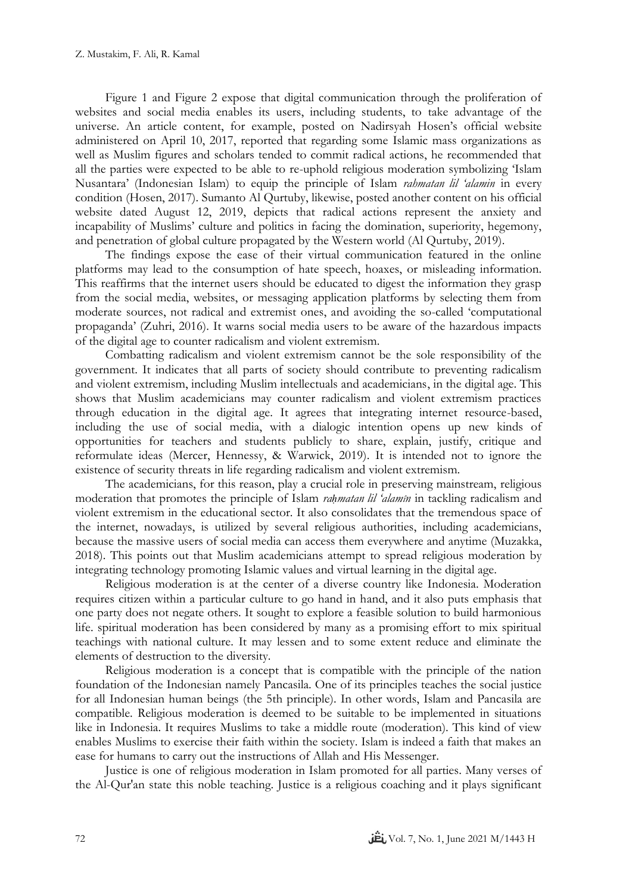Figure 1 and Figure 2 expose that digital communication through the proliferation of websites and social media enables its users, including students, to take advantage of the universe. An article content, for example, posted on Nadirsyah Hosen's official website administered on April 10, 2017, reported that regarding some Islamic mass organizations as well as Muslim figures and scholars tended to commit radical actions, he recommended that all the parties were expected to be able to re-uphold religious moderation symbolizing 'Islam Nusantara' (Indonesian Islam) to equip the principle of Islam *rahmatan lil 'alamin* in every condition (Hosen, 2017). Sumanto Al Qurtuby, likewise, posted another content on his official website dated August 12, 2019, depicts that radical actions represent the anxiety and incapability of Muslims' culture and politics in facing the domination, superiority, hegemony, and penetration of global culture propagated by the Western world (Al Qurtuby, 2019).

The findings expose the ease of their virtual communication featured in the online platforms may lead to the consumption of hate speech, hoaxes, or misleading information. This reaffirms that the internet users should be educated to digest the information they grasp from the social media, websites, or messaging application platforms by selecting them from moderate sources, not radical and extremist ones, and avoiding the so-called 'computational propaganda' (Zuhri, 2016). It warns social media users to be aware of the hazardous impacts of the digital age to counter radicalism and violent extremism.

Combatting radicalism and violent extremism cannot be the sole responsibility of the government. It indicates that all parts of society should contribute to preventing radicalism and violent extremism, including Muslim intellectuals and academicians, in the digital age. This shows that Muslim academicians may counter radicalism and violent extremism practices through education in the digital age. It agrees that integrating internet resource-based, including the use of social media, with a dialogic intention opens up new kinds of opportunities for teachers and students publicly to share, explain, justify, critique and reformulate ideas (Mercer, Hennessy, & Warwick, 2019). It is intended not to ignore the existence of security threats in life regarding radicalism and violent extremism.

The academicians, for this reason, play a crucial role in preserving mainstream, religious moderation that promotes the principle of Islam *raḥmatan lil 'alamîn* in tackling radicalism and violent extremism in the educational sector. It also consolidates that the tremendous space of the internet, nowadays, is utilized by several religious authorities, including academicians, because the massive users of social media can access them everywhere and anytime (Muzakka, 2018). This points out that Muslim academicians attempt to spread religious moderation by integrating technology promoting Islamic values and virtual learning in the digital age.

Religious moderation is at the center of a diverse country like Indonesia. Moderation requires citizen within a particular culture to go hand in hand, and it also puts emphasis that one party does not negate others. It sought to explore a feasible solution to build harmonious life. spiritual moderation has been considered by many as a promising effort to mix spiritual teachings with national culture. It may lessen and to some extent reduce and eliminate the elements of destruction to the diversity.

Religious moderation is a concept that is compatible with the principle of the nation foundation of the Indonesian namely Pancasila. One of its principles teaches the social justice for all Indonesian human beings (the 5th principle). In other words, Islam and Pancasila are compatible. Religious moderation is deemed to be suitable to be implemented in situations like in Indonesia. It requires Muslims to take a middle route (moderation). This kind of view enables Muslims to exercise their faith within the society. Islam is indeed a faith that makes an ease for humans to carry out the instructions of Allah and His Messenger.

Justice is one of religious moderation in Islam promoted for all parties. Many verses of the Al-Qur'an state this noble teaching. Justice is a religious coaching and it plays significant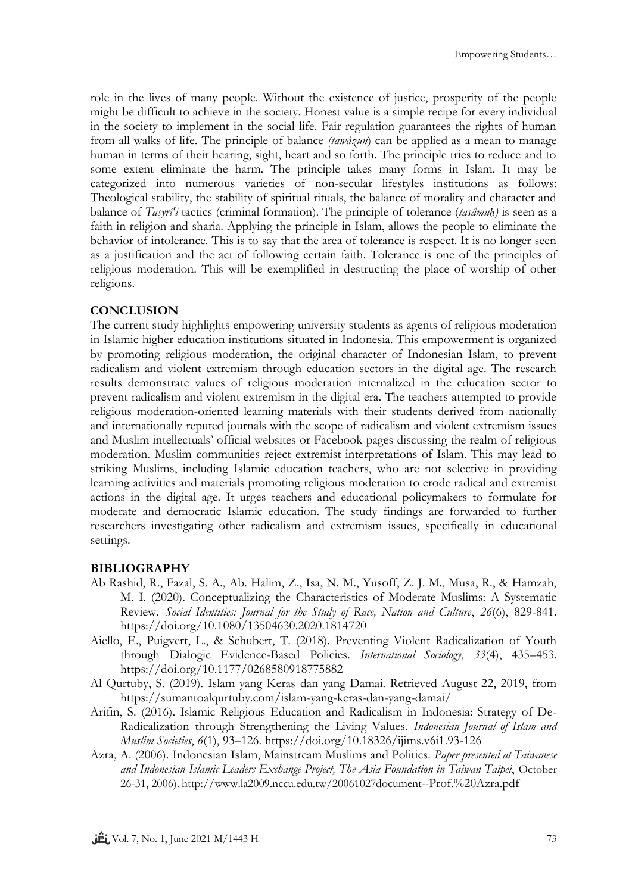role in the lives of many people. Without the existence of justice, prosperity of the people might be difficult to achieve in the society. Honest value is a simple recipe for every individual in the society to implement in the social life. Fair regulation guarantees the rights of human from all walks of life. The principle of balance *(tawâzun*) can be applied as a mean to manage human in terms of their hearing, sight, heart and so forth. The principle tries to reduce and to some extent eliminate the harm. The principle takes many forms in Islam. It may be categorized into numerous varieties of non-secular lifestyles institutions as follows: Theological stability, the stability of spiritual rituals, the balance of morality and character and balance of *Tasyrî'i* tactics (criminal formation). The principle of tolerance (*tasâmuḥ)* is seen as a faith in religion and sharia. Applying the principle in Islam, allows the people to eliminate the behavior of intolerance. This is to say that the area of tolerance is respect. It is no longer seen as a justification and the act of following certain faith. Tolerance is one of the principles of religious moderation. This will be exemplified in destructing the place of worship of other religions.

## **CONCLUSION**

The current study highlights empowering university students as agents of religious moderation in Islamic higher education institutions situated in Indonesia. This empowerment is organized by promoting religious moderation, the original character of Indonesian Islam, to prevent radicalism and violent extremism through education sectors in the digital age. The research results demonstrate values of religious moderation internalized in the education sector to prevent radicalism and violent extremism in the digital era. The teachers attempted to provide religious moderation-oriented learning materials with their students derived from nationally and internationally reputed journals with the scope of radicalism and violent extremism issues and Muslim intellectuals' official websites or Facebook pages discussing the realm of religious moderation. Muslim communities reject extremist interpretations of Islam. This may lead to striking Muslims, including Islamic education teachers, who are not selective in providing learning activities and materials promoting religious moderation to erode radical and extremist actions in the digital age. It urges teachers and educational policymakers to formulate for moderate and democratic Islamic education. The study findings are forwarded to further researchers investigating other radicalism and extremism issues, specifically in educational settings.

#### **BIBLIOGRAPHY**

- Ab Rashid, R., Fazal, S. A., Ab. Halim, Z., Isa, N. M., Yusoff, Z. J. M., Musa, R., & Hamzah, M. I. (2020). Conceptualizing the Characteristics of Moderate Muslims: A Systematic Review. *Social Identities: Journal for the Study of Race, Nation and Culture*, *26*(6), 829-841. https://doi.org/10.1080/13504630.2020.1814720
- Aiello, E., Puigvert, L., & Schubert, T. (2018). Preventing Violent Radicalization of Youth through Dialogic Evidence-Based Policies. *International Sociology*, *33*(4), 435–453. https://doi.org/10.1177/0268580918775882
- Al Qurtuby, S. (2019). Islam yang Keras dan yang Damai. Retrieved August 22, 2019, from https://sumantoalqurtuby.com/islam-yang-keras-dan-yang-damai/
- Arifin, S. (2016). Islamic Religious Education and Radicalism in Indonesia: Strategy of De-Radicalization through Strengthening the Living Values. *Indonesian Journal of Islam and Muslim Societies*, *6*(1), 93–126. https://doi.org/10.18326/ijims.v6i1.93-126
- Azra, A. (2006). Indonesian Islam, Mainstream Muslims and Politics*. Paper presented at Taiwanese and Indonesian Islamic Leaders Exchange Project, The Asia Foundation in Taiwan Taipei*, October 26-31, 2006). http://www.la2009.nccu.edu.tw/20061027document--Prof.%20Azra.pdf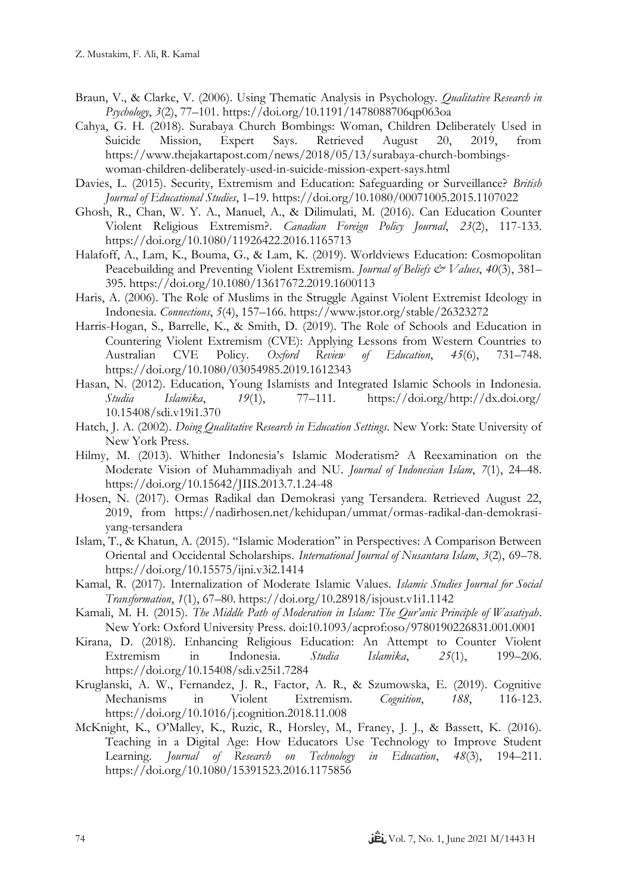- Braun, V., & Clarke, V. (2006). Using Thematic Analysis in Psychology. *Qualitative Research in Psychology*, *3*(2), 77–101. https://doi.org/10.1191/1478088706qp063oa
- Cahya, G. H. (2018). Surabaya Church Bombings: Woman, Children Deliberately Used in Suicide Mission, Expert Says. Retrieved August 20, 2019, from https://www.thejakartapost.com/news/2018/05/13/surabaya-church-bombingswoman-children-deliberately-used-in-suicide-mission-expert-says.html
- Davies, L. (2015). Security, Extremism and Education: Safeguarding or Surveillance? *British Journal of Educational Studies*, 1–19. https://doi.org/10.1080/00071005.2015.1107022
- Ghosh, R., Chan, W. Y. A., Manuel, A., & Dilimulati, M. (2016). Can Education Counter Violent Religious Extremism?. *Canadian Foreign Policy Journal*, *23*(2), 117-133. https://doi.org/10.1080/11926422.2016.1165713
- Halafoff, A., Lam, K., Bouma, G., & Lam, K. (2019). Worldviews Education: Cosmopolitan Peacebuilding and Preventing Violent Extremism. *Journal of Beliefs & Values*, 40(3), 381-395. https://doi.org/10.1080/13617672.2019.1600113
- Haris, A. (2006). The Role of Muslims in the Struggle Against Violent Extremist Ideology in Indonesia. *Connections*, *5*(4), 157–166. https://www.jstor.org/stable/26323272
- Harris-Hogan, S., Barrelle, K., & Smith, D. (2019). The Role of Schools and Education in Countering Violent Extremism (CVE): Applying Lessons from Western Countries to Australian CVE Policy. *Oxford Review of Education*, *45*(6), 731–748. https://doi.org/10.1080/03054985.2019.1612343
- Hasan, N. (2012). Education, Young Islamists and Integrated Islamic Schools in Indonesia. *Studia Islamika*, *19*(1), 77–111. https://doi.org/http://dx.doi.org/ 10.15408/sdi.v19i1.370
- Hatch, J. A. (2002). *Doing Qualitative Research in Education Settings*. New York: State University of New York Press.
- Hilmy, M. (2013). Whither Indonesia's Islamic Moderatism? A Reexamination on the Moderate Vision of Muhammadiyah and NU. *Journal of Indonesian Islam*, *7*(1), 24–48. https://doi.org/10.15642/JIIS.2013.7.1.24-48
- Hosen, N. (2017). Ormas Radikal dan Demokrasi yang Tersandera. Retrieved August 22, 2019, from https://nadirhosen.net/kehidupan/ummat/ormas-radikal-dan-demokrasiyang-tersandera
- Islam, T., & Khatun, A. (2015). "Islamic Moderation" in Perspectives: A Comparison Between Oriental and Occidental Scholarships. *International Journal of Nusantara Islam*, *3*(2), 69–78. https://doi.org/10.15575/ijni.v3i2.1414
- Kamal, R. (2017). Internalization of Moderate Islamic Values. *Islamic Studies Journal for Social Transformation*, *1*(1), 67–80. https://doi.org/10.28918/isjoust.v1i1.1142
- Kamali, M. H. (2015). *The Middle Path of Moderation in Islam: The Qur'anic Principle of Wasatiyah*. New York: Oxford University Press. doi:10.1093/acprof:oso/9780190226831.001.0001
- Kirana, D. (2018). Enhancing Religious Education: An Attempt to Counter Violent Extremism in Indonesia. *Studia Islamika*, *25*(1), 199–206. https://doi.org/10.15408/sdi.v25i1.7284
- Kruglanski, A. W., Fernandez, J. R., Factor, A. R., & Szumowska, E. (2019). Cognitive Mechanisms in Violent Extremism. *Cognition*, *188*, 116-123. https://doi.org/10.1016/j.cognition.2018.11.008
- McKnight, K., O'Malley, K., Ruzic, R., Horsley, M., Franey, J. J., & Bassett, K. (2016). Teaching in a Digital Age: How Educators Use Technology to Improve Student Learning. *Journal of Research on Technology in Education*, *48*(3), 194–211. https://doi.org/10.1080/15391523.2016.1175856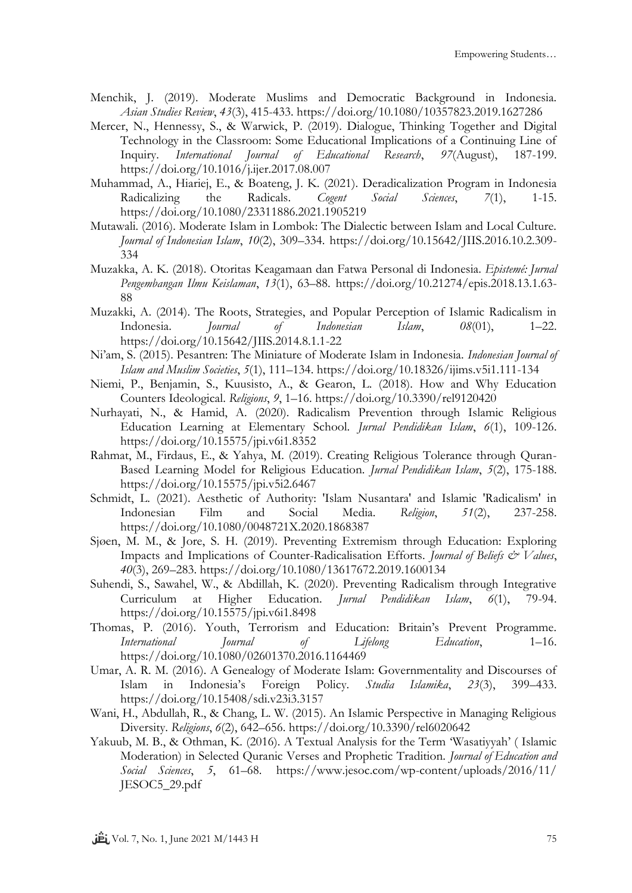- Menchik, J. (2019). Moderate Muslims and Democratic Background in Indonesia. *Asian Studies Review*, *43*(3), 415-433. https://doi.org/10.1080/10357823.2019.1627286
- Mercer, N., Hennessy, S., & Warwick, P. (2019). Dialogue, Thinking Together and Digital Technology in the Classroom: Some Educational Implications of a Continuing Line of Inquiry. *International Journal of Educational Research*, *97*(August), 187-199. https://doi.org/10.1016/j.ijer.2017.08.007
- Muhammad, A., Hiariej, E., & [Boateng,](https://www.tandfonline.com/author/Boateng%2C+John+Kwame) J. K. (2021). Deradicalization Program in Indonesia Radicalizing the Radicals. *Cogent Social Sciences*, *7*(1), 1-15. https://doi.org/10.1080/23311886.2021.1905219
- Mutawali. (2016). Moderate Islam in Lombok: The Dialectic between Islam and Local Culture. *Journal of Indonesian Islam*, *10*(2), 309–334. https://doi.org/10.15642/JIIS.2016.10.2.309- 334
- Muzakka, A. K. (2018). Otoritas Keagamaan dan Fatwa Personal di Indonesia. *Epistemé: Jurnal Pengembangan Ilmu Keislaman*, *13*(1), 63–88. https://doi.org/10.21274/epis.2018.13.1.63- 88
- Muzakki, A. (2014). The Roots, Strategies, and Popular Perception of Islamic Radicalism in Indonesia. *Journal of Indonesian Islam*, *08*(01), 1–22. https://doi.org/10.15642/JIIS.2014.8.1.1-22
- Ni'am, S. (2015). Pesantren: The Miniature of Moderate Islam in Indonesia. *Indonesian Journal of Islam and Muslim Societies*, *5*(1), 111–134. https://doi.org/10.18326/ijims.v5i1.111-134
- Niemi, P., Benjamin, S., Kuusisto, A., & Gearon, L. (2018). How and Why Education Counters Ideological. *Religions*, *9*, 1–16. https://doi.org/10.3390/rel9120420
- Nurhayati, N., & Hamid, A. (2020). Radicalism Prevention through Islamic Religious Education Learning at Elementary School. *Jurnal Pendidikan Islam*, *6*(1), 109-126. https://doi.org/10.15575/jpi.v6i1.8352
- Rahmat, M., Firdaus, E., & Yahya, M. (2019). Creating Religious Tolerance through Quran-Based Learning Model for Religious Education. *Jurnal Pendidikan Islam*, *5*(2), 175-188. https://doi.org/10.15575/jpi.v5i2.6467
- Schmidt, L. (2021). Aesthetic of Authority: 'Islam Nusantara' and Islamic 'Radicalism' in Indonesian Film and Social Media. *Religion*, *51*(2), 237-258. https://doi.org/10.1080/0048721X.2020.1868387
- Sjøen, M. M., & Jore, S. H. (2019). Preventing Extremism through Education: Exploring Impacts and Implications of Counter-Radicalisation Efforts. *Journal of Beliefs & Values*, *40*(3), 269–283. https://doi.org/10.1080/13617672.2019.1600134
- Suhendi, S., Sawahel, W., & Abdillah, K. (2020). Preventing Radicalism through Integrative Curriculum at Higher Education. *Jurnal Pendidikan Islam*, *6*(1), 79-94. https://doi.org/10.15575/jpi.v6i1.8498
- Thomas, P. (2016). Youth, Terrorism and Education: Britain's Prevent Programme. *International Journal of Lifelong Education*, 1–16. https://doi.org/10.1080/02601370.2016.1164469
- Umar, A. R. M. (2016). A Genealogy of Moderate Islam: Governmentality and Discourses of Islam in Indonesia's Foreign Policy. *Studia Islamika*, *23*(3), 399–433. https://doi.org/10.15408/sdi.v23i3.3157
- Wani, H., Abdullah, R., & Chang, L. W. (2015). An Islamic Perspective in Managing Religious Diversity. *Religions*, *6*(2), 642–656. https://doi.org/10.3390/rel6020642
- Yakuub, M. B., & Othman, K. (2016). A Textual Analysis for the Term 'Wasatiyyah' ( Islamic Moderation) in Selected Quranic Verses and Prophetic Tradition. *Journal of Education and Social Sciences*, *5*, 61–68. https://www.jesoc.com/wp-content/uploads/2016/11/ JESOC5\_29.pdf